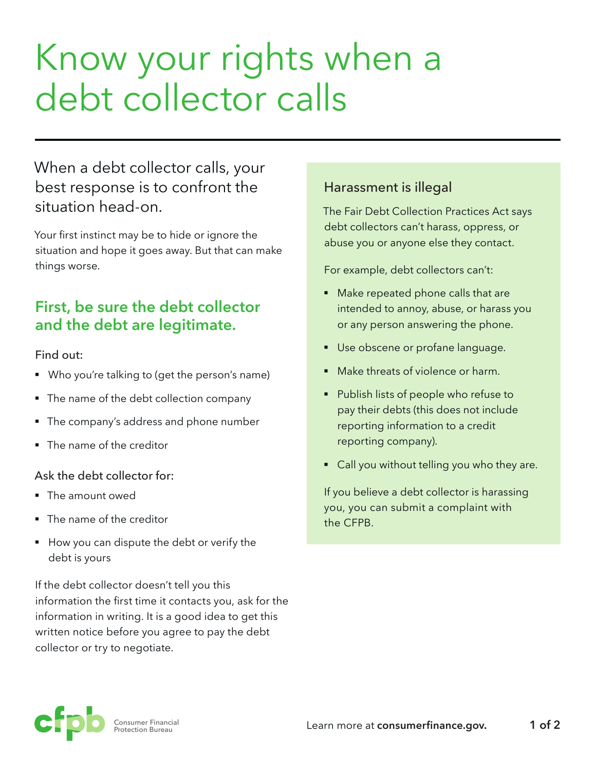# Know your rights when a debt collector calls

# When a debt collector calls, your best response is to confront the situation head-on.

Your first instinct may be to hide or ignore the situation and hope it goes away. But that can make things worse.

## **First, be sure the debt collector and the debt are legitimate.**

#### Find out:

- § Who you're talking to (get the person's name)
- The name of the debt collection company
- The company's address and phone number
- The name of the creditor

#### Ask the debt collector for:

- § The amount owed
- The name of the creditor
- How you can dispute the debt or verify the debt is yours

If the debt collector doesn't tell you this information the first time it contacts you, ask for the information in writing. It is a good idea to get this written notice before you agree to pay the debt collector or try to negotiate.

### Harassment is illegal

The Fair Debt Collection Practices Act says debt collectors can't harass, oppress, or abuse you or anyone else they contact.

For example, debt collectors can't:

- Make repeated phone calls that are intended to annoy, abuse, or harass you or any person answering the phone.
- **•** Use obscene or profane language.
- Make threats of violence or harm.
- Publish lists of people who refuse to pay their debts (this does not include reporting information to a credit reporting company).
- Call you without telling you who they are.

If you believe a debt collector is harassing you, you can submit a complaint with the CFPB.